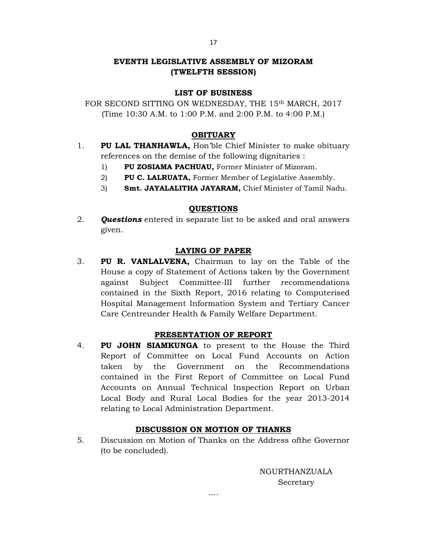# EVENTH LEGISLATIVE ASSEMBLY OF MIZORAM (TWELFTH SESSION)

## LIST OF BUSINESS

FOR SECOND SITTING ON WEDNESDAY, THE 15th MARCH, 2017 (Time 10:30 A.M. to 1:00 P.M. and 2:00 P.M. to 4:00 P.M.)

## **OBITUARY**

- 1. PU LAL THANHAWLA, Hon'ble Chief Minister to make obituary references on the demise of the following dignitaries :
	- 1) PU ZOSIAMA PACHUAU, Former Minister of Mizoram.
	- 2) PU C. LALRUATA, Former Member of Legislative Assembly.
	- 3) Smt. JAYALALITHA JAYARAM, Chief Minister of Tamil Nadu.

## QUESTIONS

2. **Questions** entered in separate list to be asked and oral answers given.

## LAYING OF PAPER

3. PU R. VANLALVENA, Chairman to lay on the Table of the House a copy of Statement of Actions taken by the Government against Subject Committee-III further recommendations contained in the Sixth Report, 2016 relating to Computerised Hospital Management Information System and Tertiary Cancer Care Centreunder Health & Family Welfare Department.

## PRESENTATION OF REPORT

4. PU JOHN SIAMKUNGA to present to the House the Third Report of Committee on Local Fund Accounts on Action taken by the Government on the Recommendations contained in the First Report of Committee on Local Fund Accounts on Annual Technical Inspection Report on Urban Local Body and Rural Local Bodies for the year 2013-2014 relating to Local Administration Department.

## DISCUSSION ON MOTION OF THANKS

5. Discussion on Motion of Thanks on the Address ofthe Governor (to be concluded).

….

NGURTHANZUALA Secretary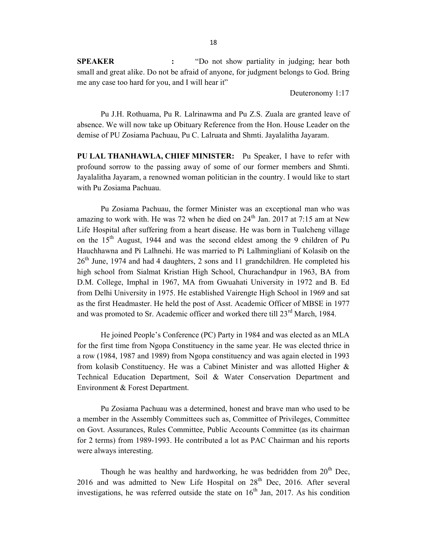SPEAKER : "Do not show partiality in judging; hear both small and great alike. Do not be afraid of anyone, for judgment belongs to God. Bring me any case too hard for you, and I will hear it"

Deuteronomy 1:17

 Pu J.H. Rothuama, Pu R. Lalrinawma and Pu Z.S. Zuala are granted leave of absence. We will now take up Obituary Reference from the Hon. House Leader on the demise of PU Zosiama Pachuau, Pu C. Lalruata and Shmti. Jayalalitha Jayaram.

PU LAL THANHAWLA, CHIEF MINISTER: Pu Speaker, I have to refer with profound sorrow to the passing away of some of our former members and Shmti. Jayalalitha Jayaram, a renowned woman politician in the country. I would like to start with Pu Zosiama Pachuau.

 Pu Zosiama Pachuau, the former Minister was an exceptional man who was amazing to work with. He was 72 when he died on  $24<sup>th</sup>$  Jan. 2017 at 7:15 am at New Life Hospital after suffering from a heart disease. He was born in Tualcheng village on the  $15<sup>th</sup>$  August, 1944 and was the second eldest among the 9 children of Pu Hauchhawna and Pi Lalhnehi. He was married to Pi Lalhmingliani of Kolasib on the  $26<sup>th</sup>$  June, 1974 and had 4 daughters, 2 sons and 11 grandchildren. He completed his high school from Sialmat Kristian High School, Churachandpur in 1963, BA from D.M. College, Imphal in 1967, MA from Gwuahati University in 1972 and B. Ed from Delhi University in 1975. He established Vairengte High School in 1969 and sat as the first Headmaster. He held the post of Asst. Academic Officer of MBSE in 1977 and was promoted to Sr. Academic officer and worked there till  $23<sup>rd</sup>$  March, 1984.

 He joined People's Conference (PC) Party in 1984 and was elected as an MLA for the first time from Ngopa Constituency in the same year. He was elected thrice in a row (1984, 1987 and 1989) from Ngopa constituency and was again elected in 1993 from kolasib Constituency. He was a Cabinet Minister and was allotted Higher & Technical Education Department, Soil & Water Conservation Department and Environment & Forest Department.

 Pu Zosiama Pachuau was a determined, honest and brave man who used to be a member in the Assembly Committees such as, Committee of Privileges, Committee on Govt. Assurances, Rules Committee, Public Accounts Committee (as its chairman for 2 terms) from 1989-1993. He contributed a lot as PAC Chairman and his reports were always interesting.

Though he was healthy and hardworking, he was bedridden from  $20<sup>th</sup>$  Dec, 2016 and was admitted to New Life Hospital on  $28<sup>th</sup>$  Dec, 2016. After several investigations, he was referred outside the state on  $16<sup>th</sup>$  Jan, 2017. As his condition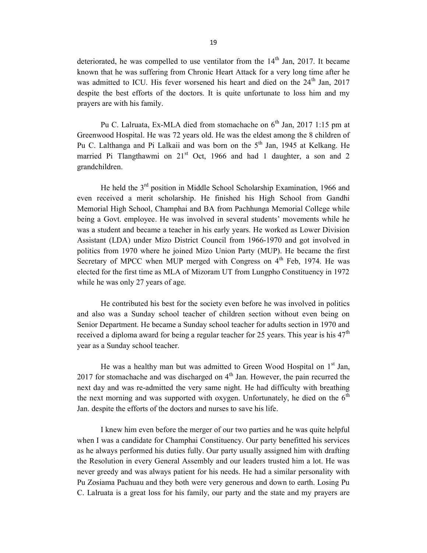deteriorated, he was compelled to use ventilator from the  $14<sup>th</sup>$  Jan, 2017. It became known that he was suffering from Chronic Heart Attack for a very long time after he was admitted to ICU. His fever worsened his heart and died on the  $24<sup>th</sup>$  Jan, 2017 despite the best efforts of the doctors. It is quite unfortunate to loss him and my prayers are with his family.

Pu C. Lalruata, Ex-MLA died from stomachache on 6<sup>th</sup> Jan, 2017 1:15 pm at Greenwood Hospital. He was 72 years old. He was the eldest among the 8 children of Pu C. Lalthanga and Pi Lalkaii and was born on the  $5<sup>th</sup>$  Jan, 1945 at Kelkang. He married Pi Tlangthawmi on  $21<sup>st</sup>$  Oct, 1966 and had 1 daughter, a son and 2 grandchildren.

He held the 3<sup>rd</sup> position in Middle School Scholarship Examination, 1966 and even received a merit scholarship. He finished his High School from Gandhi Memorial High School, Champhai and BA from Pachhunga Memorial College while being a Govt. employee. He was involved in several students' movements while he was a student and became a teacher in his early years. He worked as Lower Division Assistant (LDA) under Mizo District Council from 1966-1970 and got involved in politics from 1970 where he joined Mizo Union Party (MUP). He became the first Secretary of MPCC when MUP merged with Congress on 4<sup>th</sup> Feb, 1974. He was elected for the first time as MLA of Mizoram UT from Lungpho Constituency in 1972 while he was only 27 years of age.

 He contributed his best for the society even before he was involved in politics and also was a Sunday school teacher of children section without even being on Senior Department. He became a Sunday school teacher for adults section in 1970 and received a diploma award for being a regular teacher for 25 years. This year is his  $47<sup>th</sup>$ year as a Sunday school teacher.

He was a healthy man but was admitted to Green Wood Hospital on  $1<sup>st</sup>$  Jan, 2017 for stomachache and was discharged on  $4<sup>th</sup>$  Jan. However, the pain recurred the next day and was re-admitted the very same night. He had difficulty with breathing the next morning and was supported with oxygen. Unfortunately, he died on the  $6<sup>th</sup>$ Jan. despite the efforts of the doctors and nurses to save his life.

 I knew him even before the merger of our two parties and he was quite helpful when I was a candidate for Champhai Constituency. Our party benefitted his services as he always performed his duties fully. Our party usually assigned him with drafting the Resolution in every General Assembly and our leaders trusted him a lot. He was never greedy and was always patient for his needs. He had a similar personality with Pu Zosiama Pachuau and they both were very generous and down to earth. Losing Pu C. Lalruata is a great loss for his family, our party and the state and my prayers are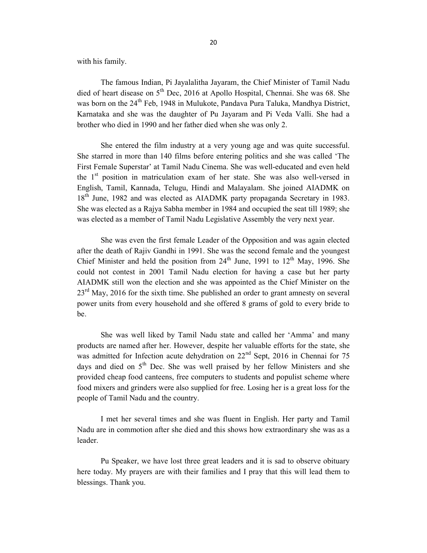20

with his family.

 The famous Indian, Pi Jayalalitha Jayaram, the Chief Minister of Tamil Nadu died of heart disease on  $5<sup>th</sup>$  Dec, 2016 at Apollo Hospital, Chennai. She was 68. She was born on the 24<sup>th</sup> Feb, 1948 in Mulukote, Pandava Pura Taluka, Mandhya District, Karnataka and she was the daughter of Pu Jayaram and Pi Veda Valli. She had a brother who died in 1990 and her father died when she was only 2.

 She entered the film industry at a very young age and was quite successful. She starred in more than 140 films before entering politics and she was called 'The First Female Superstar' at Tamil Nadu Cinema. She was well-educated and even held the 1<sup>st</sup> position in matriculation exam of her state. She was also well-versed in English, Tamil, Kannada, Telugu, Hindi and Malayalam. She joined AIADMK on 18<sup>th</sup> June, 1982 and was elected as AIADMK party propaganda Secretary in 1983. She was elected as a Rajya Sabha member in 1984 and occupied the seat till 1989; she was elected as a member of Tamil Nadu Legislative Assembly the very next year.

 She was even the first female Leader of the Opposition and was again elected after the death of Rajiv Gandhi in 1991. She was the second female and the youngest Chief Minister and held the position from  $24<sup>th</sup>$  June, 1991 to  $12<sup>th</sup>$  May, 1996. She could not contest in 2001 Tamil Nadu election for having a case but her party AIADMK still won the election and she was appointed as the Chief Minister on the  $23<sup>rd</sup>$  May, 2016 for the sixth time. She published an order to grant amnesty on several power units from every household and she offered 8 grams of gold to every bride to be.

 She was well liked by Tamil Nadu state and called her 'Amma' and many products are named after her. However, despite her valuable efforts for the state, she was admitted for Infection acute dehydration on 22<sup>nd</sup> Sept, 2016 in Chennai for 75 days and died on  $5<sup>th</sup>$  Dec. She was well praised by her fellow Ministers and she provided cheap food canteens, free computers to students and populist scheme where food mixers and grinders were also supplied for free. Losing her is a great loss for the people of Tamil Nadu and the country.

 I met her several times and she was fluent in English. Her party and Tamil Nadu are in commotion after she died and this shows how extraordinary she was as a leader.

 Pu Speaker, we have lost three great leaders and it is sad to observe obituary here today. My prayers are with their families and I pray that this will lead them to blessings. Thank you.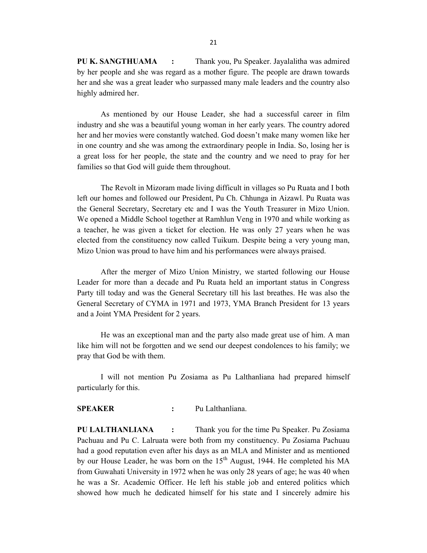PU K. SANGTHUAMA : Thank you, Pu Speaker. Jayalalitha was admired by her people and she was regard as a mother figure. The people are drawn towards her and she was a great leader who surpassed many male leaders and the country also highly admired her.

 As mentioned by our House Leader, she had a successful career in film industry and she was a beautiful young woman in her early years. The country adored her and her movies were constantly watched. God doesn't make many women like her in one country and she was among the extraordinary people in India. So, losing her is a great loss for her people, the state and the country and we need to pray for her families so that God will guide them throughout.

 The Revolt in Mizoram made living difficult in villages so Pu Ruata and I both left our homes and followed our President, Pu Ch. Chhunga in Aizawl. Pu Ruata was the General Secretary, Secretary etc and I was the Youth Treasurer in Mizo Union. We opened a Middle School together at Ramhlun Veng in 1970 and while working as a teacher, he was given a ticket for election. He was only 27 years when he was elected from the constituency now called Tuikum. Despite being a very young man, Mizo Union was proud to have him and his performances were always praised.

 After the merger of Mizo Union Ministry, we started following our House Leader for more than a decade and Pu Ruata held an important status in Congress Party till today and was the General Secretary till his last breathes. He was also the General Secretary of CYMA in 1971 and 1973, YMA Branch President for 13 years and a Joint YMA President for 2 years.

 He was an exceptional man and the party also made great use of him. A man like him will not be forgotten and we send our deepest condolences to his family; we pray that God be with them.

 I will not mention Pu Zosiama as Pu Lalthanliana had prepared himself particularly for this.

# SPEAKER : Pu Lalthanliana.

PU LALTHANLIANA : Thank you for the time Pu Speaker. Pu Zosiama Pachuau and Pu C. Lalruata were both from my constituency. Pu Zosiama Pachuau had a good reputation even after his days as an MLA and Minister and as mentioned by our House Leader, he was born on the  $15<sup>th</sup>$  August, 1944. He completed his MA from Guwahati University in 1972 when he was only 28 years of age; he was 40 when he was a Sr. Academic Officer. He left his stable job and entered politics which showed how much he dedicated himself for his state and I sincerely admire his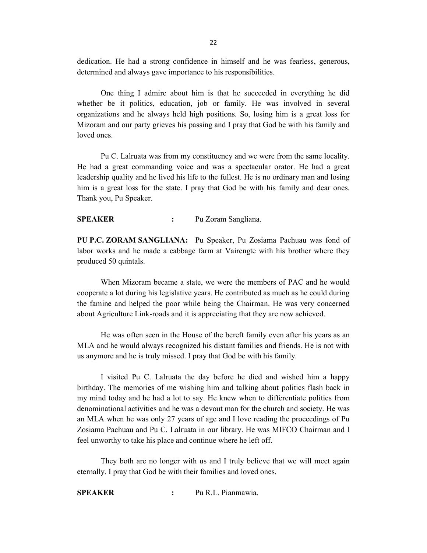dedication. He had a strong confidence in himself and he was fearless, generous, determined and always gave importance to his responsibilities.

 One thing I admire about him is that he succeeded in everything he did whether be it politics, education, job or family. He was involved in several organizations and he always held high positions. So, losing him is a great loss for Mizoram and our party grieves his passing and I pray that God be with his family and loved ones.

 Pu C. Lalruata was from my constituency and we were from the same locality. He had a great commanding voice and was a spectacular orator. He had a great leadership quality and he lived his life to the fullest. He is no ordinary man and losing him is a great loss for the state. I pray that God be with his family and dear ones. Thank you, Pu Speaker.

SPEAKER : Pu Zoram Sangliana.

PU P.C. ZORAM SANGLIANA: Pu Speaker, Pu Zosiama Pachuau was fond of labor works and he made a cabbage farm at Vairengte with his brother where they produced 50 quintals.

 When Mizoram became a state, we were the members of PAC and he would cooperate a lot during his legislative years. He contributed as much as he could during the famine and helped the poor while being the Chairman. He was very concerned about Agriculture Link-roads and it is appreciating that they are now achieved.

 He was often seen in the House of the bereft family even after his years as an MLA and he would always recognized his distant families and friends. He is not with us anymore and he is truly missed. I pray that God be with his family.

 I visited Pu C. Lalruata the day before he died and wished him a happy birthday. The memories of me wishing him and talking about politics flash back in my mind today and he had a lot to say. He knew when to differentiate politics from denominational activities and he was a devout man for the church and society. He was an MLA when he was only 27 years of age and I love reading the proceedings of Pu Zosiama Pachuau and Pu C. Lalruata in our library. He was MIFCO Chairman and I feel unworthy to take his place and continue where he left off.

 They both are no longer with us and I truly believe that we will meet again eternally. I pray that God be with their families and loved ones.

SPEAKER : Pu R.L. Pianmawia.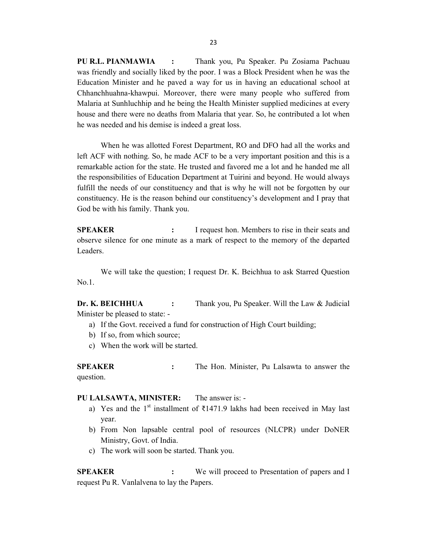PU R.L. PIANMAWIA : Thank you, Pu Speaker. Pu Zosiama Pachuau was friendly and socially liked by the poor. I was a Block President when he was the Education Minister and he paved a way for us in having an educational school at Chhanchhuahna-khawpui. Moreover, there were many people who suffered from Malaria at Sunhluchhip and he being the Health Minister supplied medicines at every house and there were no deaths from Malaria that year. So, he contributed a lot when he was needed and his demise is indeed a great loss.

 When he was allotted Forest Department, RO and DFO had all the works and left ACF with nothing. So, he made ACF to be a very important position and this is a remarkable action for the state. He trusted and favored me a lot and he handed me all the responsibilities of Education Department at Tuirini and beyond. He would always fulfill the needs of our constituency and that is why he will not be forgotten by our constituency. He is the reason behind our constituency's development and I pray that God be with his family. Thank you.

SPEAKER : I request hon. Members to rise in their seats and observe silence for one minute as a mark of respect to the memory of the departed Leaders.

 We will take the question; I request Dr. K. Beichhua to ask Starred Question No.1.

Dr. K. BEICHHUA : Thank you, Pu Speaker. Will the Law & Judicial Minister be pleased to state: -

- a) If the Govt. received a fund for construction of High Court building;
- b) If so, from which source;
- c) When the work will be started.

SPEAKER : The Hon. Minister, Pu Lalsawta to answer the question.

#### PU LALSAWTA, MINISTER: The answer is: -

- a) Yes and the 1<sup>st</sup> installment of ₹1471.9 lakhs had been received in May last year.
- b) From Non lapsable central pool of resources (NLCPR) under DoNER Ministry, Govt. of India.
- c) The work will soon be started. Thank you.

**SPEAKER** : We will proceed to Presentation of papers and I request Pu R. Vanlalvena to lay the Papers.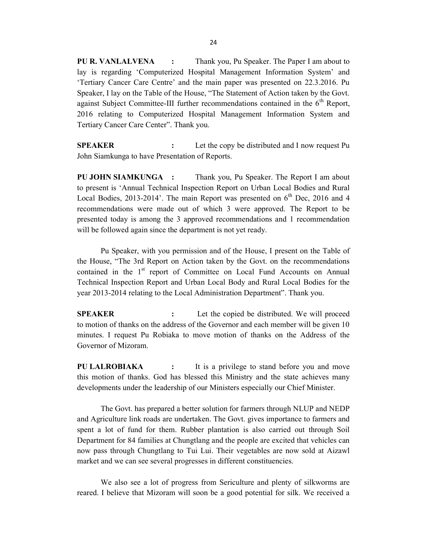PU R. VANLALVENA : Thank you, Pu Speaker. The Paper I am about to lay is regarding 'Computerized Hospital Management Information System' and 'Tertiary Cancer Care Centre' and the main paper was presented on 22.3.2016. Pu Speaker, I lay on the Table of the House, "The Statement of Action taken by the Govt. against Subject Committee-III further recommendations contained in the  $6<sup>th</sup>$  Report, 2016 relating to Computerized Hospital Management Information System and Tertiary Cancer Care Center". Thank you.

**SPEAKER** : Let the copy be distributed and I now request Pu John Siamkunga to have Presentation of Reports.

PU JOHN SIAMKUNGA : Thank you, Pu Speaker. The Report I am about to present is 'Annual Technical Inspection Report on Urban Local Bodies and Rural Local Bodies, 2013-2014'. The main Report was presented on  $6<sup>th</sup>$  Dec, 2016 and 4 recommendations were made out of which 3 were approved. The Report to be presented today is among the 3 approved recommendations and 1 recommendation will be followed again since the department is not yet ready.

 Pu Speaker, with you permission and of the House, I present on the Table of the House, "The 3rd Report on Action taken by the Govt. on the recommendations contained in the 1<sup>st</sup> report of Committee on Local Fund Accounts on Annual Technical Inspection Report and Urban Local Body and Rural Local Bodies for the year 2013-2014 relating to the Local Administration Department". Thank you.

SPEAKER : Let the copied be distributed. We will proceed to motion of thanks on the address of the Governor and each member will be given 10 minutes. I request Pu Robiaka to move motion of thanks on the Address of the Governor of Mizoram.

PU LALROBIAKA : It is a privilege to stand before you and move this motion of thanks. God has blessed this Ministry and the state achieves many developments under the leadership of our Ministers especially our Chief Minister.

 The Govt. has prepared a better solution for farmers through NLUP and NEDP and Agriculture link roads are undertaken. The Govt. gives importance to farmers and spent a lot of fund for them. Rubber plantation is also carried out through Soil Department for 84 families at Chungtlang and the people are excited that vehicles can now pass through Chungtlang to Tui Lui. Their vegetables are now sold at Aizawl market and we can see several progresses in different constituencies.

 We also see a lot of progress from Sericulture and plenty of silkworms are reared. I believe that Mizoram will soon be a good potential for silk. We received a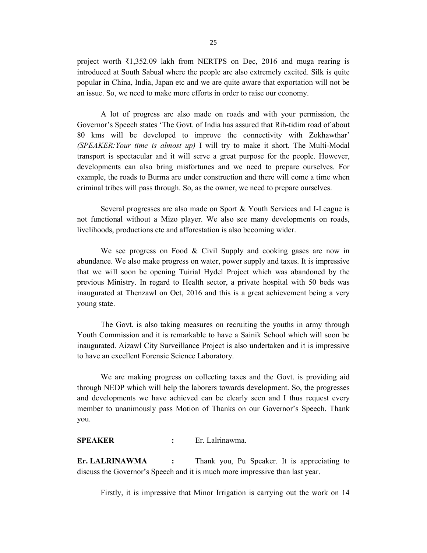project worth ₹1,352.09 lakh from NERTPS on Dec, 2016 and muga rearing is introduced at South Sabual where the people are also extremely excited. Silk is quite popular in China, India, Japan etc and we are quite aware that exportation will not be an issue. So, we need to make more efforts in order to raise our economy.

 A lot of progress are also made on roads and with your permission, the Governor's Speech states 'The Govt. of India has assured that Rih-tidim road of about 80 kms will be developed to improve the connectivity with Zokhawthar'  $(SPEAKER: Your time is almost up)$  I will try to make it short. The Multi-Modal transport is spectacular and it will serve a great purpose for the people. However, developments can also bring misfortunes and we need to prepare ourselves. For example, the roads to Burma are under construction and there will come a time when criminal tribes will pass through. So, as the owner, we need to prepare ourselves.

 Several progresses are also made on Sport & Youth Services and I-League is not functional without a Mizo player. We also see many developments on roads, livelihoods, productions etc and afforestation is also becoming wider.

We see progress on Food & Civil Supply and cooking gases are now in abundance. We also make progress on water, power supply and taxes. It is impressive that we will soon be opening Tuirial Hydel Project which was abandoned by the previous Ministry. In regard to Health sector, a private hospital with 50 beds was inaugurated at Thenzawl on Oct, 2016 and this is a great achievement being a very young state.

 The Govt. is also taking measures on recruiting the youths in army through Youth Commission and it is remarkable to have a Sainik School which will soon be inaugurated. Aizawl City Surveillance Project is also undertaken and it is impressive to have an excellent Forensic Science Laboratory.

 We are making progress on collecting taxes and the Govt. is providing aid through NEDP which will help the laborers towards development. So, the progresses and developments we have achieved can be clearly seen and I thus request every member to unanimously pass Motion of Thanks on our Governor's Speech. Thank you.

#### SPEAKER : Er. Lalrinawma.

Er. LALRINAWMA : Thank you, Pu Speaker. It is appreciating to discuss the Governor's Speech and it is much more impressive than last year.

Firstly, it is impressive that Minor Irrigation is carrying out the work on 14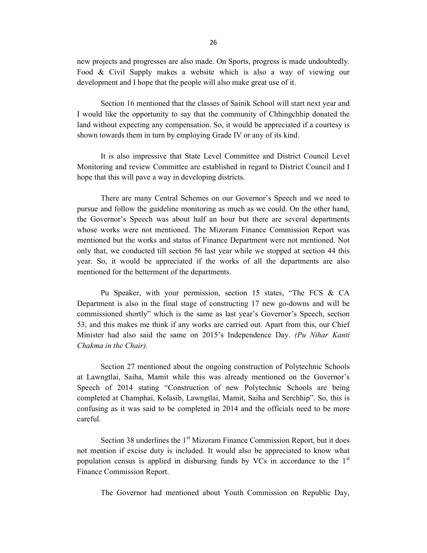new projects and progresses are also made. On Sports, progress is made undoubtedly. Food & Civil Supply makes a website which is also a way of viewing our development and I hope that the people will also make great use of it.

 Section 16 mentioned that the classes of Sainik School will start next year and I would like the opportunity to say that the community of Chhingchhip donated the land without expecting any compensation. So, it would be appreciated if a courtesy is shown towards them in turn by employing Grade IV or any of its kind.

 It is also impressive that State Level Committee and District Council Level Monitoring and review Committee are established in regard to District Council and I hope that this will pave a way in developing districts.

 There are many Central Schemes on our Governor's Speech and we need to pursue and follow the guideline monitoring as much as we could. On the other hand, the Governor's Speech was about half an hour but there are several departments whose works were not mentioned. The Mizoram Finance Commission Report was mentioned but the works and status of Finance Department were not mentioned. Not only that, we conducted till section 56 last year while we stopped at section 44 this year. So, it would be appreciated if the works of all the departments are also mentioned for the betterment of the departments.

 Pu Speaker, with your permission, section 15 states, "The FCS & CA Department is also in the final stage of constructing 17 new go-downs and will be commissioned shortly" which is the same as last year's Governor's Speech, section 53, and this makes me think if any works are carried out. Apart from this, our Chief Minister had also said the same on 2015's Independence Day. (Pu Nihar Kanti Chakma in the Chair).

 Section 27 mentioned about the ongoing construction of Polytechnic Schools at Lawngtlai, Saiha, Mamit while this was already mentioned on the Governor's Speech of 2014 stating "Construction of new Polytechnic Schools are being completed at Champhai, Kolasib, Lawngtlai, Mamit, Saiha and Serchhip". So, this is confusing as it was said to be completed in 2014 and the officials need to be more careful.

Section 38 underlines the  $1<sup>st</sup>$  Mizoram Finance Commission Report, but it does not mention if excise duty is included. It would also be appreciated to know what population census is applied in disbursing funds by VCs in accordance to the  $1<sup>st</sup>$ Finance Commission Report.

The Governor had mentioned about Youth Commission on Republic Day,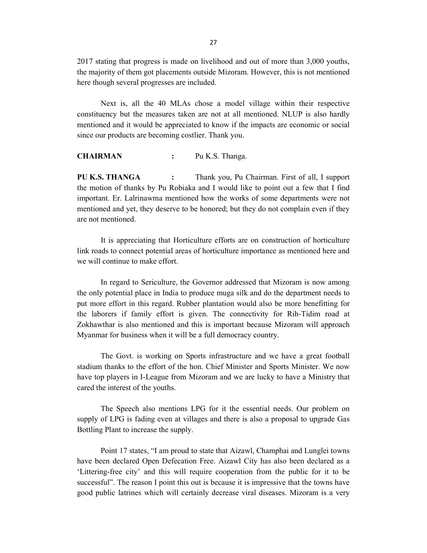2017 stating that progress is made on livelihood and out of more than 3,000 youths, the majority of them got placements outside Mizoram. However, this is not mentioned here though several progresses are included.

 Next is, all the 40 MLAs chose a model village within their respective constituency but the measures taken are not at all mentioned. NLUP is also hardly mentioned and it would be appreciated to know if the impacts are economic or social since our products are becoming costlier. Thank you.

CHAIRMAN : Pu K.S. Thanga.

PU K.S. THANGA : Thank you, Pu Chairman. First of all, I support the motion of thanks by Pu Robiaka and I would like to point out a few that I find important. Er. Lalrinawma mentioned how the works of some departments were not mentioned and yet, they deserve to be honored; but they do not complain even if they are not mentioned.

 It is appreciating that Horticulture efforts are on construction of horticulture link roads to connect potential areas of horticulture importance as mentioned here and we will continue to make effort.

 In regard to Sericulture, the Governor addressed that Mizoram is now among the only potential place in India to produce muga silk and do the department needs to put more effort in this regard. Rubber plantation would also be more benefitting for the laborers if family effort is given. The connectivity for Rih-Tidim road at Zokhawthar is also mentioned and this is important because Mizoram will approach Myanmar for business when it will be a full democracy country.

 The Govt. is working on Sports infrastructure and we have a great football stadium thanks to the effort of the hon. Chief Minister and Sports Minister. We now have top players in I-League from Mizoram and we are lucky to have a Ministry that cared the interest of the youths.

 The Speech also mentions LPG for it the essential needs. Our problem on supply of LPG is fading even at villages and there is also a proposal to upgrade Gas Bottling Plant to increase the supply.

 Point 17 states, "I am proud to state that Aizawl, Champhai and Lunglei towns have been declared Open Defecation Free. Aizawl City has also been declared as a 'Littering-free city' and this will require cooperation from the public for it to be successful". The reason I point this out is because it is impressive that the towns have good public latrines which will certainly decrease viral diseases. Mizoram is a very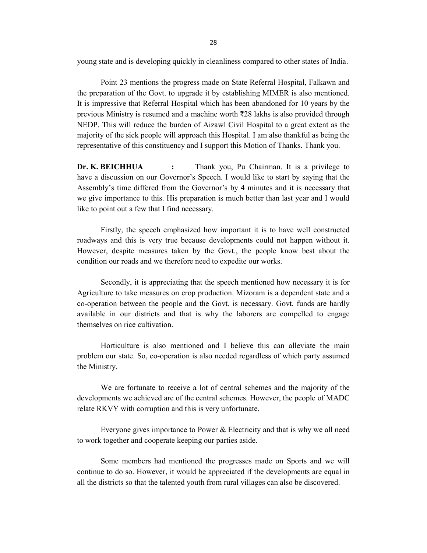young state and is developing quickly in cleanliness compared to other states of India.

 Point 23 mentions the progress made on State Referral Hospital, Falkawn and the preparation of the Govt. to upgrade it by establishing MIMER is also mentioned. It is impressive that Referral Hospital which has been abandoned for 10 years by the previous Ministry is resumed and a machine worth ₹28 lakhs is also provided through NEDP. This will reduce the burden of Aizawl Civil Hospital to a great extent as the majority of the sick people will approach this Hospital. I am also thankful as being the representative of this constituency and I support this Motion of Thanks. Thank you.

Dr. K. BEICHHUA : Thank you, Pu Chairman. It is a privilege to have a discussion on our Governor's Speech. I would like to start by saying that the Assembly's time differed from the Governor's by 4 minutes and it is necessary that we give importance to this. His preparation is much better than last year and I would like to point out a few that I find necessary.

 Firstly, the speech emphasized how important it is to have well constructed roadways and this is very true because developments could not happen without it. However, despite measures taken by the Govt., the people know best about the condition our roads and we therefore need to expedite our works.

 Secondly, it is appreciating that the speech mentioned how necessary it is for Agriculture to take measures on crop production. Mizoram is a dependent state and a co-operation between the people and the Govt. is necessary. Govt. funds are hardly available in our districts and that is why the laborers are compelled to engage themselves on rice cultivation.

 Horticulture is also mentioned and I believe this can alleviate the main problem our state. So, co-operation is also needed regardless of which party assumed the Ministry.

 We are fortunate to receive a lot of central schemes and the majority of the developments we achieved are of the central schemes. However, the people of MADC relate RKVY with corruption and this is very unfortunate.

 Everyone gives importance to Power & Electricity and that is why we all need to work together and cooperate keeping our parties aside.

 Some members had mentioned the progresses made on Sports and we will continue to do so. However, it would be appreciated if the developments are equal in all the districts so that the talented youth from rural villages can also be discovered.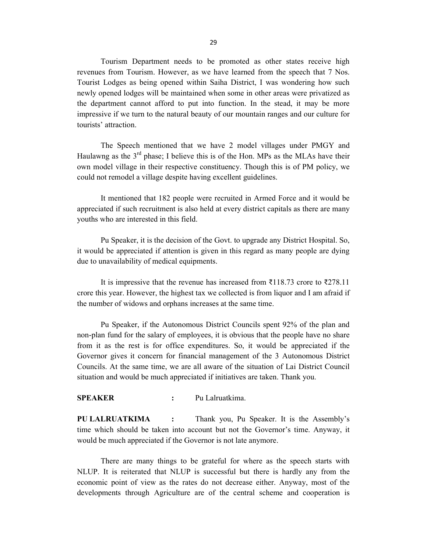Tourism Department needs to be promoted as other states receive high revenues from Tourism. However, as we have learned from the speech that 7 Nos. Tourist Lodges as being opened within Saiha District, I was wondering how such newly opened lodges will be maintained when some in other areas were privatized as the department cannot afford to put into function. In the stead, it may be more impressive if we turn to the natural beauty of our mountain ranges and our culture for tourists' attraction.

 The Speech mentioned that we have 2 model villages under PMGY and Haulawng as the  $3<sup>rd</sup>$  phase; I believe this is of the Hon. MPs as the MLAs have their own model village in their respective constituency. Though this is of PM policy, we could not remodel a village despite having excellent guidelines.

 It mentioned that 182 people were recruited in Armed Force and it would be appreciated if such recruitment is also held at every district capitals as there are many youths who are interested in this field.

 Pu Speaker, it is the decision of the Govt. to upgrade any District Hospital. So, it would be appreciated if attention is given in this regard as many people are dying due to unavailability of medical equipments.

 It is impressive that the revenue has increased from ₹118.73 crore to ₹278.11 crore this year. However, the highest tax we collected is from liquor and I am afraid if the number of widows and orphans increases at the same time.

 Pu Speaker, if the Autonomous District Councils spent 92% of the plan and non-plan fund for the salary of employees, it is obvious that the people have no share from it as the rest is for office expenditures. So, it would be appreciated if the Governor gives it concern for financial management of the 3 Autonomous District Councils. At the same time, we are all aware of the situation of Lai District Council situation and would be much appreciated if initiatives are taken. Thank you.

### SPEAKER : Pu Lalruatkima.

PU LALRUATKIMA : Thank you, Pu Speaker. It is the Assembly's time which should be taken into account but not the Governor's time. Anyway, it would be much appreciated if the Governor is not late anymore.

 There are many things to be grateful for where as the speech starts with NLUP. It is reiterated that NLUP is successful but there is hardly any from the economic point of view as the rates do not decrease either. Anyway, most of the developments through Agriculture are of the central scheme and cooperation is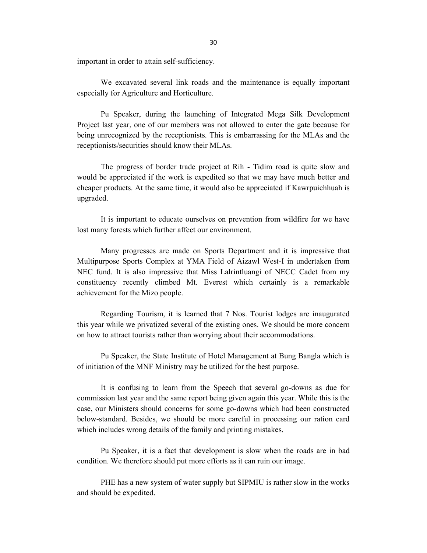important in order to attain self-sufficiency.

 We excavated several link roads and the maintenance is equally important especially for Agriculture and Horticulture.

 Pu Speaker, during the launching of Integrated Mega Silk Development Project last year, one of our members was not allowed to enter the gate because for being unrecognized by the receptionists. This is embarrassing for the MLAs and the receptionists/securities should know their MLAs.

 The progress of border trade project at Rih - Tidim road is quite slow and would be appreciated if the work is expedited so that we may have much better and cheaper products. At the same time, it would also be appreciated if Kawrpuichhuah is upgraded.

 It is important to educate ourselves on prevention from wildfire for we have lost many forests which further affect our environment.

 Many progresses are made on Sports Department and it is impressive that Multipurpose Sports Complex at YMA Field of Aizawl West-I in undertaken from NEC fund. It is also impressive that Miss Lalrintluangi of NECC Cadet from my constituency recently climbed Mt. Everest which certainly is a remarkable achievement for the Mizo people.

 Regarding Tourism, it is learned that 7 Nos. Tourist lodges are inaugurated this year while we privatized several of the existing ones. We should be more concern on how to attract tourists rather than worrying about their accommodations.

 Pu Speaker, the State Institute of Hotel Management at Bung Bangla which is of initiation of the MNF Ministry may be utilized for the best purpose.

 It is confusing to learn from the Speech that several go-downs as due for commission last year and the same report being given again this year. While this is the case, our Ministers should concerns for some go-downs which had been constructed below-standard. Besides, we should be more careful in processing our ration card which includes wrong details of the family and printing mistakes.

 Pu Speaker, it is a fact that development is slow when the roads are in bad condition. We therefore should put more efforts as it can ruin our image.

 PHE has a new system of water supply but SIPMIU is rather slow in the works and should be expedited.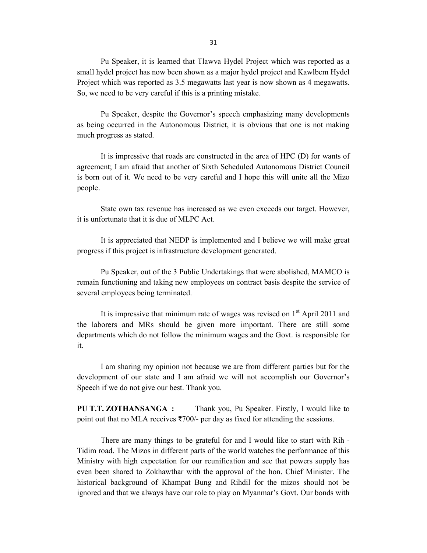31

 Pu Speaker, it is learned that Tlawva Hydel Project which was reported as a small hydel project has now been shown as a major hydel project and Kawlbem Hydel Project which was reported as 3.5 megawatts last year is now shown as 4 megawatts. So, we need to be very careful if this is a printing mistake.

 Pu Speaker, despite the Governor's speech emphasizing many developments as being occurred in the Autonomous District, it is obvious that one is not making much progress as stated.

 It is impressive that roads are constructed in the area of HPC (D) for wants of agreement; I am afraid that another of Sixth Scheduled Autonomous District Council is born out of it. We need to be very careful and I hope this will unite all the Mizo people.

 State own tax revenue has increased as we even exceeds our target. However, it is unfortunate that it is due of MLPC Act.

 It is appreciated that NEDP is implemented and I believe we will make great progress if this project is infrastructure development generated.

 Pu Speaker, out of the 3 Public Undertakings that were abolished, MAMCO is remain functioning and taking new employees on contract basis despite the service of several employees being terminated.

It is impressive that minimum rate of wages was revised on  $1<sup>st</sup>$  April 2011 and the laborers and MRs should be given more important. There are still some departments which do not follow the minimum wages and the Govt. is responsible for it.

 I am sharing my opinion not because we are from different parties but for the development of our state and I am afraid we will not accomplish our Governor's Speech if we do not give our best. Thank you.

PU T.T. ZOTHANSANGA : Thank you, Pu Speaker. Firstly, I would like to point out that no MLA receives ₹700/- per day as fixed for attending the sessions.

 There are many things to be grateful for and I would like to start with Rih - Tidim road. The Mizos in different parts of the world watches the performance of this Ministry with high expectation for our reunification and see that powers supply has even been shared to Zokhawthar with the approval of the hon. Chief Minister. The historical background of Khampat Bung and Rihdil for the mizos should not be ignored and that we always have our role to play on Myanmar's Govt. Our bonds with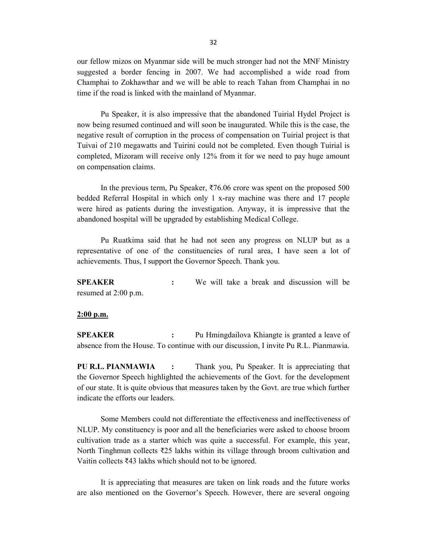our fellow mizos on Myanmar side will be much stronger had not the MNF Ministry suggested a border fencing in 2007. We had accomplished a wide road from Champhai to Zokhawthar and we will be able to reach Tahan from Champhai in no time if the road is linked with the mainland of Myanmar.

 Pu Speaker, it is also impressive that the abandoned Tuirial Hydel Project is now being resumed continued and will soon be inaugurated. While this is the case, the negative result of corruption in the process of compensation on Tuirial project is that Tuivai of 210 megawatts and Tuirini could not be completed. Even though Tuirial is completed, Mizoram will receive only 12% from it for we need to pay huge amount on compensation claims.

 In the previous term, Pu Speaker, ₹76.06 crore was spent on the proposed 500 bedded Referral Hospital in which only 1 x-ray machine was there and 17 people were hired as patients during the investigation. Anyway, it is impressive that the abandoned hospital will be upgraded by establishing Medical College.

 Pu Ruatkima said that he had not seen any progress on NLUP but as a representative of one of the constituencies of rural area, I have seen a lot of achievements. Thus, I support the Governor Speech. Thank you.

SPEAKER : We will take a break and discussion will be resumed at 2:00 p.m.

### 2:00 p.m.

SPEAKER : Pu Hmingdailova Khiangte is granted a leave of absence from the House. To continue with our discussion, I invite Pu R.L. Pianmawia.

PU R.L. PIANMAWIA : Thank you, Pu Speaker. It is appreciating that the Governor Speech highlighted the achievements of the Govt. for the development of our state. It is quite obvious that measures taken by the Govt. are true which further indicate the efforts our leaders.

 Some Members could not differentiate the effectiveness and ineffectiveness of NLUP. My constituency is poor and all the beneficiaries were asked to choose broom cultivation trade as a starter which was quite a successful. For example, this year, North Tinghmun collects ₹25 lakhs within its village through broom cultivation and Vaitin collects ₹43 lakhs which should not to be ignored.

 It is appreciating that measures are taken on link roads and the future works are also mentioned on the Governor's Speech. However, there are several ongoing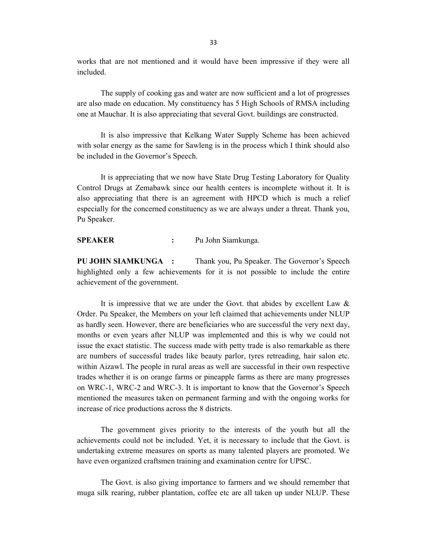works that are not mentioned and it would have been impressive if they were all included.

 The supply of cooking gas and water are now sufficient and a lot of progresses are also made on education. My constituency has 5 High Schools of RMSA including one at Mauchar. It is also appreciating that several Govt. buildings are constructed.

 It is also impressive that Kelkang Water Supply Scheme has been achieved with solar energy as the same for Sawleng is in the process which I think should also be included in the Governor's Speech.

 It is appreciating that we now have State Drug Testing Laboratory for Quality Control Drugs at Zemabawk since our health centers is incomplete without it. It is also appreciating that there is an agreement with HPCD which is much a relief especially for the concerned constituency as we are always under a threat. Thank you, Pu Speaker.

SPEAKER : Pu John Siamkunga.

PU JOHN SIAMKUNGA : Thank you, Pu Speaker. The Governor's Speech highlighted only a few achievements for it is not possible to include the entire achievement of the government.

 It is impressive that we are under the Govt. that abides by excellent Law & Order. Pu Speaker, the Members on your left claimed that achievements under NLUP as hardly seen. However, there are beneficiaries who are successful the very next day, months or even years after NLUP was implemented and this is why we could not issue the exact statistic. The success made with petty trade is also remarkable as there are numbers of successful trades like beauty parlor, tyres retreading, hair salon etc. within Aizawl. The people in rural areas as well are successful in their own respective trades whether it is on orange farms or pineapple farms as there are many progresses on WRC-1, WRC-2 and WRC-3. It is important to know that the Governor's Speech mentioned the measures taken on permanent farming and with the ongoing works for increase of rice productions across the 8 districts.

 The government gives priority to the interests of the youth but all the achievements could not be included. Yet, it is necessary to include that the Govt. is undertaking extreme measures on sports as many talented players are promoted. We have even organized craftsmen training and examination centre for UPSC.

 The Govt. is also giving importance to farmers and we should remember that muga silk rearing, rubber plantation, coffee etc are all taken up under NLUP. These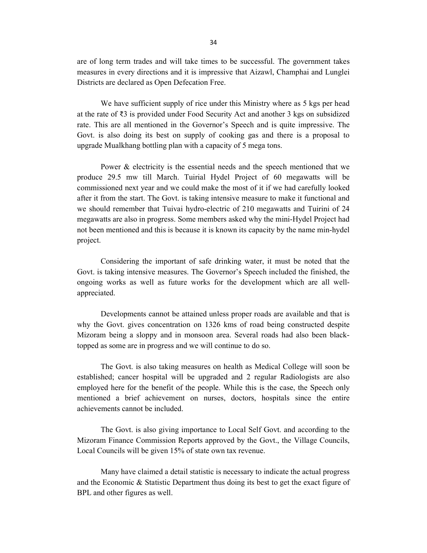are of long term trades and will take times to be successful. The government takes measures in every directions and it is impressive that Aizawl, Champhai and Lunglei Districts are declared as Open Defecation Free.

 We have sufficient supply of rice under this Ministry where as 5 kgs per head at the rate of ₹3 is provided under Food Security Act and another 3 kgs on subsidized rate. This are all mentioned in the Governor's Speech and is quite impressive. The Govt. is also doing its best on supply of cooking gas and there is a proposal to upgrade Mualkhang bottling plan with a capacity of 5 mega tons.

 Power & electricity is the essential needs and the speech mentioned that we produce 29.5 mw till March. Tuirial Hydel Project of 60 megawatts will be commissioned next year and we could make the most of it if we had carefully looked after it from the start. The Govt. is taking intensive measure to make it functional and we should remember that Tuivai hydro-electric of 210 megawatts and Tuirini of 24 megawatts are also in progress. Some members asked why the mini-Hydel Project had not been mentioned and this is because it is known its capacity by the name min-hydel project.

 Considering the important of safe drinking water, it must be noted that the Govt. is taking intensive measures. The Governor's Speech included the finished, the ongoing works as well as future works for the development which are all wellappreciated.

 Developments cannot be attained unless proper roads are available and that is why the Govt. gives concentration on 1326 kms of road being constructed despite Mizoram being a sloppy and in monsoon area. Several roads had also been blacktopped as some are in progress and we will continue to do so.

 The Govt. is also taking measures on health as Medical College will soon be established; cancer hospital will be upgraded and 2 regular Radiologists are also employed here for the benefit of the people. While this is the case, the Speech only mentioned a brief achievement on nurses, doctors, hospitals since the entire achievements cannot be included.

 The Govt. is also giving importance to Local Self Govt. and according to the Mizoram Finance Commission Reports approved by the Govt., the Village Councils, Local Councils will be given 15% of state own tax revenue.

 Many have claimed a detail statistic is necessary to indicate the actual progress and the Economic & Statistic Department thus doing its best to get the exact figure of BPL and other figures as well.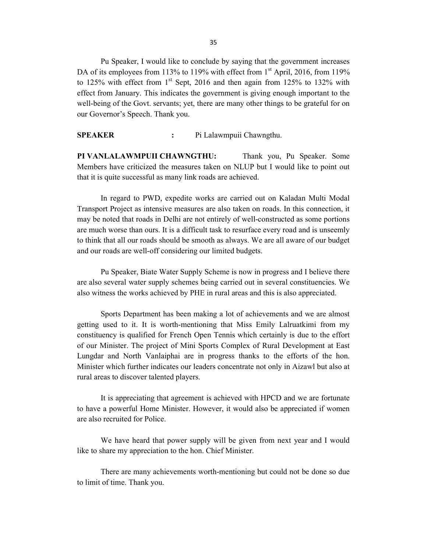Pu Speaker, I would like to conclude by saying that the government increases DA of its employees from 113% to 119% with effect from  $1<sup>st</sup>$  April, 2016, from 119% to 125% with effect from  $1<sup>st</sup>$  Sept, 2016 and then again from 125% to 132% with effect from January. This indicates the government is giving enough important to the well-being of the Govt. servants; yet, there are many other things to be grateful for on our Governor's Speech. Thank you.

SPEAKER : Pi Lalawmpuii Chawngthu.

PI VANLALAWMPUII CHAWNGTHU: Thank you, Pu Speaker. Some Members have criticized the measures taken on NLUP but I would like to point out that it is quite successful as many link roads are achieved.

 In regard to PWD, expedite works are carried out on Kaladan Multi Modal Transport Project as intensive measures are also taken on roads. In this connection, it may be noted that roads in Delhi are not entirely of well-constructed as some portions are much worse than ours. It is a difficult task to resurface every road and is unseemly to think that all our roads should be smooth as always. We are all aware of our budget and our roads are well-off considering our limited budgets.

 Pu Speaker, Biate Water Supply Scheme is now in progress and I believe there are also several water supply schemes being carried out in several constituencies. We also witness the works achieved by PHE in rural areas and this is also appreciated.

 Sports Department has been making a lot of achievements and we are almost getting used to it. It is worth-mentioning that Miss Emily Lalruatkimi from my constituency is qualified for French Open Tennis which certainly is due to the effort of our Minister. The project of Mini Sports Complex of Rural Development at East Lungdar and North Vanlaiphai are in progress thanks to the efforts of the hon. Minister which further indicates our leaders concentrate not only in Aizawl but also at rural areas to discover talented players.

 It is appreciating that agreement is achieved with HPCD and we are fortunate to have a powerful Home Minister. However, it would also be appreciated if women are also recruited for Police.

 We have heard that power supply will be given from next year and I would like to share my appreciation to the hon. Chief Minister.

 There are many achievements worth-mentioning but could not be done so due to limit of time. Thank you.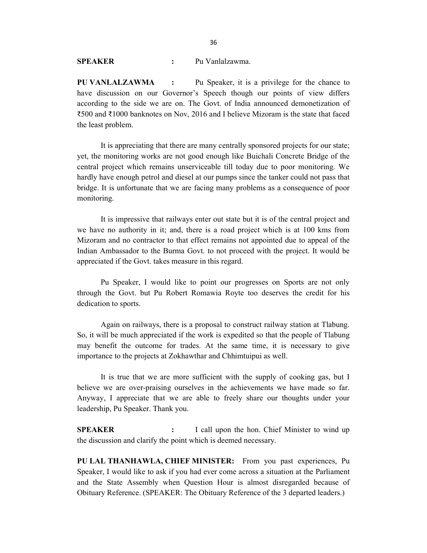## SPEAKER : Pu Vanlalzawma.

PU VANLALZAWMA : Pu Speaker, it is a privilege for the chance to have discussion on our Governor's Speech though our points of view differs according to the side we are on. The Govt. of India announced demonetization of ₹500 and ₹1000 banknotes on Nov, 2016 and I believe Mizoram is the state that faced the least problem.

 It is appreciating that there are many centrally sponsored projects for our state; yet, the monitoring works are not good enough like Buichali Concrete Bridge of the central project which remains unserviceable till today due to poor monitoring. We hardly have enough petrol and diesel at our pumps since the tanker could not pass that bridge. It is unfortunate that we are facing many problems as a consequence of poor monitoring.

 It is impressive that railways enter out state but it is of the central project and we have no authority in it; and, there is a road project which is at 100 kms from Mizoram and no contractor to that effect remains not appointed due to appeal of the Indian Ambassador to the Burma Govt. to not proceed with the project. It would be appreciated if the Govt. takes measure in this regard.

 Pu Speaker, I would like to point our progresses on Sports are not only through the Govt. but Pu Robert Romawia Royte too deserves the credit for his dedication to sports.

 Again on railways, there is a proposal to construct railway station at Tlabung. So, it will be much appreciated if the work is expedited so that the people of Tlabung may benefit the outcome for trades. At the same time, it is necessary to give importance to the projects at Zokhawthar and Chhimtuipui as well.

 It is true that we are more sufficient with the supply of cooking gas, but I believe we are over-praising ourselves in the achievements we have made so far. Anyway, I appreciate that we are able to freely share our thoughts under your leadership, Pu Speaker. Thank you.

SPEAKER : I call upon the hon. Chief Minister to wind up the discussion and clarify the point which is deemed necessary.

PU LAL THANHAWLA, CHIEF MINISTER: From you past experiences, Pu Speaker, I would like to ask if you had ever come across a situation at the Parliament and the State Assembly when Question Hour is almost disregarded because of Obituary Reference. (SPEAKER: The Obituary Reference of the 3 departed leaders.)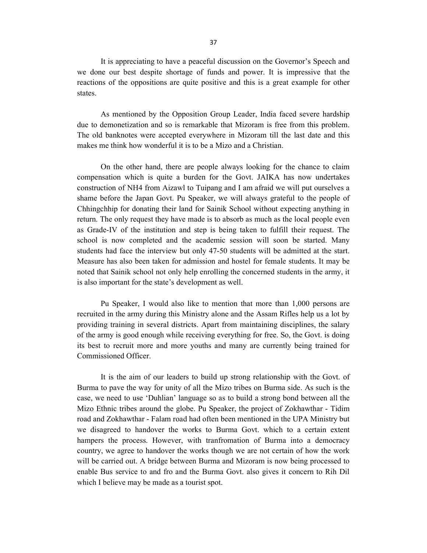It is appreciating to have a peaceful discussion on the Governor's Speech and we done our best despite shortage of funds and power. It is impressive that the reactions of the oppositions are quite positive and this is a great example for other states.

 As mentioned by the Opposition Group Leader, India faced severe hardship due to demonetization and so is remarkable that Mizoram is free from this problem. The old banknotes were accepted everywhere in Mizoram till the last date and this makes me think how wonderful it is to be a Mizo and a Christian.

 On the other hand, there are people always looking for the chance to claim compensation which is quite a burden for the Govt. JAIKA has now undertakes construction of NH4 from Aizawl to Tuipang and I am afraid we will put ourselves a shame before the Japan Govt. Pu Speaker, we will always grateful to the people of Chhingchhip for donating their land for Sainik School without expecting anything in return. The only request they have made is to absorb as much as the local people even as Grade-IV of the institution and step is being taken to fulfill their request. The school is now completed and the academic session will soon be started. Many students had face the interview but only 47-50 students will be admitted at the start. Measure has also been taken for admission and hostel for female students. It may be noted that Sainik school not only help enrolling the concerned students in the army, it is also important for the state's development as well.

 Pu Speaker, I would also like to mention that more than 1,000 persons are recruited in the army during this Ministry alone and the Assam Rifles help us a lot by providing training in several districts. Apart from maintaining disciplines, the salary of the army is good enough while receiving everything for free. So, the Govt. is doing its best to recruit more and more youths and many are currently being trained for Commissioned Officer.

 It is the aim of our leaders to build up strong relationship with the Govt. of Burma to pave the way for unity of all the Mizo tribes on Burma side. As such is the case, we need to use 'Duhlian' language so as to build a strong bond between all the Mizo Ethnic tribes around the globe. Pu Speaker, the project of Zokhawthar - Tidim road and Zokhawthar - Falam road had often been mentioned in the UPA Ministry but we disagreed to handover the works to Burma Govt. which to a certain extent hampers the process. However, with tranfromation of Burma into a democracy country, we agree to handover the works though we are not certain of how the work will be carried out. A bridge between Burma and Mizoram is now being processed to enable Bus service to and fro and the Burma Govt. also gives it concern to Rih Dil which I believe may be made as a tourist spot.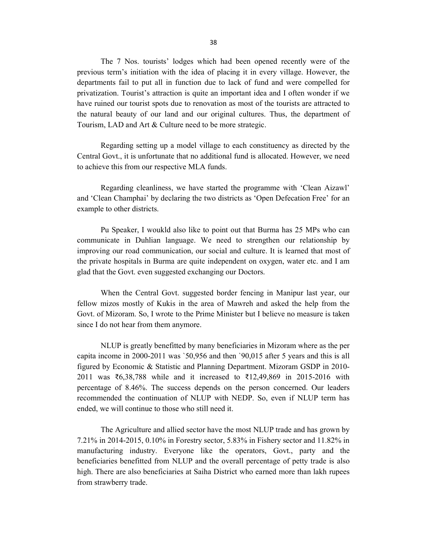The 7 Nos. tourists' lodges which had been opened recently were of the previous term's initiation with the idea of placing it in every village. However, the departments fail to put all in function due to lack of fund and were compelled for privatization. Tourist's attraction is quite an important idea and I often wonder if we have ruined our tourist spots due to renovation as most of the tourists are attracted to the natural beauty of our land and our original cultures. Thus, the department of Tourism, LAD and Art & Culture need to be more strategic.

 Regarding setting up a model village to each constituency as directed by the Central Govt., it is unfortunate that no additional fund is allocated. However, we need to achieve this from our respective MLA funds.

 Regarding cleanliness, we have started the programme with 'Clean Aizawl' and 'Clean Champhai' by declaring the two districts as 'Open Defecation Free' for an example to other districts.

 Pu Speaker, I woukld also like to point out that Burma has 25 MPs who can communicate in Duhlian language. We need to strengthen our relationship by improving our road communication, our social and culture. It is learned that most of the private hospitals in Burma are quite independent on oxygen, water etc. and I am glad that the Govt. even suggested exchanging our Doctors.

 When the Central Govt. suggested border fencing in Manipur last year, our fellow mizos mostly of Kukis in the area of Mawreh and asked the help from the Govt. of Mizoram. So, I wrote to the Prime Minister but I believe no measure is taken since I do not hear from them anymore.

 NLUP is greatly benefitted by many beneficiaries in Mizoram where as the per capita income in 2000-2011 was `50,956 and then `90,015 after 5 years and this is all figured by Economic & Statistic and Planning Department. Mizoram GSDP in 2010- 2011 was ₹6,38,788 while and it increased to ₹12,49,869 in 2015-2016 with percentage of 8.46%. The success depends on the person concerned. Our leaders recommended the continuation of NLUP with NEDP. So, even if NLUP term has ended, we will continue to those who still need it.

 The Agriculture and allied sector have the most NLUP trade and has grown by 7.21% in 2014-2015, 0.10% in Forestry sector, 5.83% in Fishery sector and 11.82% in manufacturing industry. Everyone like the operators, Govt., party and the beneficiaries benefitted from NLUP and the overall percentage of petty trade is also high. There are also beneficiaries at Saiha District who earned more than lakh rupees from strawberry trade.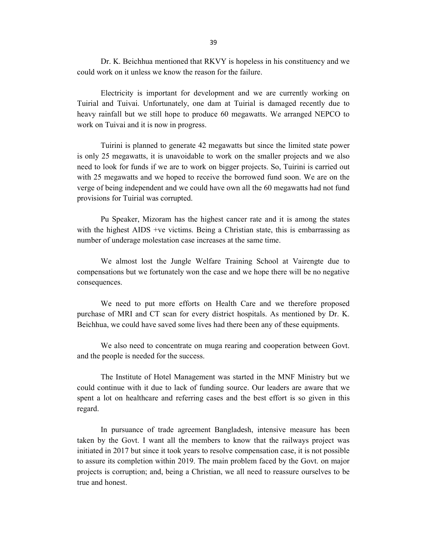Dr. K. Beichhua mentioned that RKVY is hopeless in his constituency and we could work on it unless we know the reason for the failure.

 Electricity is important for development and we are currently working on Tuirial and Tuivai. Unfortunately, one dam at Tuirial is damaged recently due to heavy rainfall but we still hope to produce 60 megawatts. We arranged NEPCO to work on Tuivai and it is now in progress.

 Tuirini is planned to generate 42 megawatts but since the limited state power is only 25 megawatts, it is unavoidable to work on the smaller projects and we also need to look for funds if we are to work on bigger projects. So, Tuirini is carried out with 25 megawatts and we hoped to receive the borrowed fund soon. We are on the verge of being independent and we could have own all the 60 megawatts had not fund provisions for Tuirial was corrupted.

 Pu Speaker, Mizoram has the highest cancer rate and it is among the states with the highest AIDS +ve victims. Being a Christian state, this is embarrassing as number of underage molestation case increases at the same time.

 We almost lost the Jungle Welfare Training School at Vairengte due to compensations but we fortunately won the case and we hope there will be no negative consequences.

 We need to put more efforts on Health Care and we therefore proposed purchase of MRI and CT scan for every district hospitals. As mentioned by Dr. K. Beichhua, we could have saved some lives had there been any of these equipments.

 We also need to concentrate on muga rearing and cooperation between Govt. and the people is needed for the success.

 The Institute of Hotel Management was started in the MNF Ministry but we could continue with it due to lack of funding source. Our leaders are aware that we spent a lot on healthcare and referring cases and the best effort is so given in this regard.

 In pursuance of trade agreement Bangladesh, intensive measure has been taken by the Govt. I want all the members to know that the railways project was initiated in 2017 but since it took years to resolve compensation case, it is not possible to assure its completion within 2019. The main problem faced by the Govt. on major projects is corruption; and, being a Christian, we all need to reassure ourselves to be true and honest.